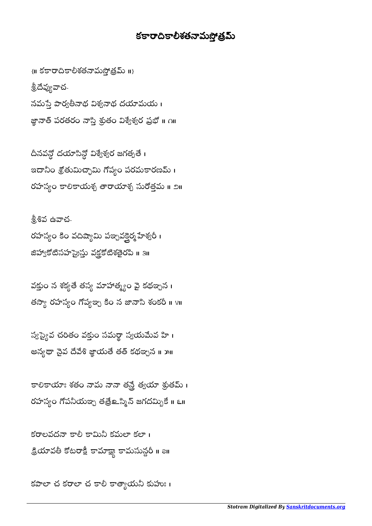## కకారాదికాలీశతనామసోత్రమ్

 $\{ \mathbf \mathsf I \mathsf I \}$  కకారాదికాలీశతనామస్తోత్రమ్  $\mathsf I \mathsf I \}$ శ్రీదేవ్యవాచ-నమస్తే పార్వతీనాథ విశ్వనాథ దయామయ । జ్ఞానాత్ పరతరం నాస్తి శ్రుతం విశ్వేశ్వర ప్రభో ॥ ౧॥

దీనవన్ధో దయాసిన్ధో విశ్వేశ్వర జగత్పతే । ֖֚֚֚֚֬֝֘֝֬֝ ఇదానీం శ్రోతుమిచ్ఛామి గోప్యం పరమకారణమ్ । రహస్యం కాలికాయశ్చ తారాయాశ్చ సురోత్తమ ॥ ౨॥

శ్రీశివ ఉవాచ-రహస్యం కిం వదిష్యామి పఞ్చవక్తైర్మ హేశ్వరీ । జిహ్వాకోటిసహస్రైస్తు వక్రక్<sup>టి</sup>శతైరపి <mark>॥</mark> ౩॥

వక్తుం న శక్యతే తస్య మాహాత్మ్యం వై కథఞ్నన। తస్యా రహస్యం గోప్యజ్చ కిం న జానాసి శంకరీ ॥ ४॥

స్వప్యైవ చరీతం వక్తుం సమర్థా స్వయమేవ హి । అన్యథా నైవ దేవేశి జ్ఞాయతే తత్ కథఞ్చన ॥ ౫॥

కాలికాయాః శతం నామ నానా తన్తే త్వయా శ్రుతమ్ । రహస్యం గోపనీయఞ్న తత్రే<mark>உ</mark>స్మిన్ జగదమ్బికే ။ ౬။

కరాలవదనా కాలీ కామినీ కమలా కలా। క్రియావతీ కోటరాక్షీ కామాక్ష్య కామసున్దరీ <mark>။</mark> all

కపాలా చ కరాలా చ కాలీ కాత్యాయనీ కుహుః ।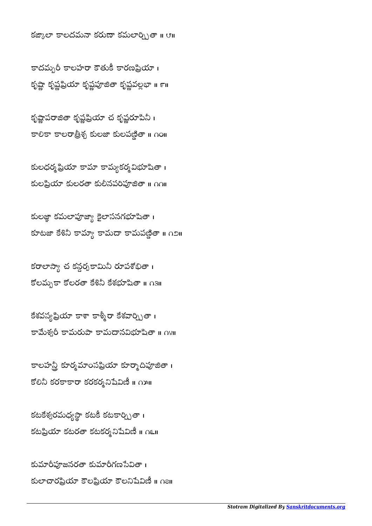కుమారీపూజనరతా కుమారీగణసేవితా । కులాచారప్రియా కౌలని అనిషేవిణీ ॥ ౧౭॥

కటకేశ్వరమధ్యస్థా కటకీ కటకార్చ్నితా। కటప్రియా కటరతా కటకర్మనిషేవిణీ ။ ౧౬॥

కాలహన్తీ కూర్మమాంసప్రియా కూర్మాదిపూజితా। కోలినీ కరకాకారా కరకర్మనిషేవిణీ ။ గాు။

కేశవస్య ప్రియా కాశా కాశ్మీరా కేశవార్చ్నితా। కామేశ్వరీ కామరుపా కామదానవిభూషితా ॥ ∩४॥

కరాలాస్యా చ కన్గర్భకామినీ రూపశోభితా । కోలమృకా కోలరతా కేశినీ కేశభూషితా ॥ ౧౩॥

కులజ్జా కమలాపూజ్యా కైలాసనగభూషితా । కూటజా కేశినీ కామ్యా కామం జేతా ॥ గెలి॥

కులధర్మ ప్రియా కామా కామ్యకర్మ విభూషితా । కులప్రియా కులరతా కులీనపరిపూజితా ॥ กก

కృష్ణాపరాజితా కృష్ణప్రియా చ కృష్ణరూపినీ। కాలికా కాలరాత్రీశ్చ కులజా కులపణ్ణితా ॥ ∩౦॥

కాదమ్బరీ కాలహరా కౌతుకీ కారణప్రియా । కృష్ణా కృష్ణప్రియా కృష్ణపతా కృష్ణవల్లభా ॥ ౯॥

కజ్కాలా కాలదమనా కరుణా కమలార్చ్నితా ॥ ౮॥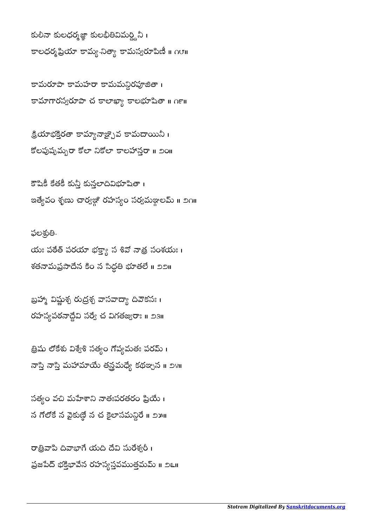రాత్రివాపి దివాభాగే యది దేవి సురేశ్వరీ । ప్రజపేద్ భక్తిభావేన రహస్య స్తవముత్తమమ్ ॥ ౨౬॥

సత్యం వచి మహేశాని నాతఃపరతరం ప్రియే । న గోలోకే న వైకుణ్ణే న చ కైలాసమన్ధిరే ॥ ౨౫॥

త్రిషు లోకేశు విశ్వేశి సత్యం గోప్యమతః పరమ్ । నాస్తి నాస్తి మహామాయే తన్రమధ్యే కథఞ్నన ॥ ౨౪॥

బ్రహ్మా విష్ణుశ్చ రుద్రశ్చ వాసవాద్యా దివౌకసః। రహస్యపఠనాద్దేవి సర్వే చ విగతజ్వరాః ॥ ౨౩॥

ఫలశ్రుతి-యః పఠేత్ పరయా భక్త్యా సళివో నాత్ర సంశయః । శతనామప్రసాదేన కిం న సిద్ధతి భూతలే ॥ ౨౨॥

కౌషికీ కేతకీ కున్తీ కున్తలాదివిభూషితా । ఇత్యేవం శృణు చార్వజ్గో రహస్యం సర్వమజ్గాలమ్ ॥ ౨౧॥

క్రియాభక్తిరతా కామ్యానాజ్చైవ కామదాయినీ । కోలపుష్నమృరా కోలా నికోలా కాలహాన్తరా ॥ ౨౦॥

కామరూపా కామహరా కామమన్ధిరపూజితా । కామాగారస్వరూపా చ కాలాఖ్యా కాలభూషితా ॥ ౧౯॥

కులీనా కులధర్మజ్ఞా కులభీతివిమర్ద్దినీ । కాలధర్మ ప్రియా కామ్య- నిత్యా కామస్యరూపిణీ ॥ ౧౮॥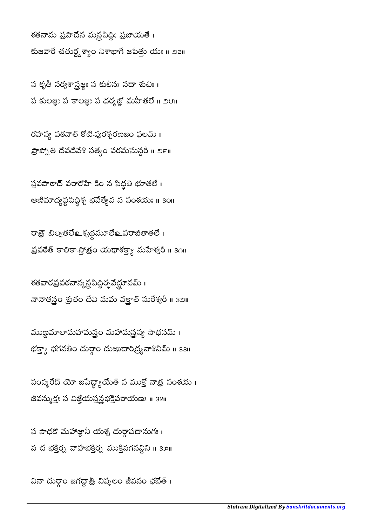వినా దుర్గాం జగద్ధాత్రి నిష్మలం జీవనం భభేత్ ।

స సాధకో మహాజ్ఞానీ యశ్చ దుర్గాపదానుగః । న చ భక్తిర్న వాహభక్తిర్న ముక్తినగనన్నిని ॥ ३౫॥

సంస్మరేద్ యో జపేద్ద్యాయేత్ స ముక్తో నాత్ర సంశయ । జీవన్ముక్తః స విజ్జేయస్తవ్రభక్తిపరాయణః ॥ ३४॥

ముణ్ణమాలామహామన్త్రం మహామన్త్రస్య సాధనమ్ । భక్త్యా భగవతీం దుర్గాం దుఃఖదారిద్ర్యనాశినీమ్ <mark>။</mark> зз။

శతవారప్రపఠనాన్మస్త్రసిద్ధిర్భవేద్ధూవమ్ । నానాతన్త్రం శ్రుతం దేవి మమ వక్త్రాత్ సురేశ్వరీ ॥ ౩౨॥

రాత్రో బీల్వతలేల శ్వథ్ధమూలేల పరాజీతాతలే । ప్రపరేత్ కాలికా స్తోత్రం యథాశక్త్యా మహేశ్వరీ ॥ ३౧॥

స్తవపాఠాద్ వరారోహే కిం న సిద్ధతి భూతలే। అణిమాద్యప్టసిద్ధిశ్చ భవెత్యేవ న సంశయః ॥ ३౦॥

రహస్య పఠనాత్ కోటి-పురశ్చరణజం ఫలమ్ । ప్రాప్నోతి దేవదేవేశి సత్యం పరమసున్దరీ ॥ ౨౯॥

స కృతీ సర్వశాస్త్రజ్ఞః స కులీనః సదా శుచిః । స కులజ్ఞః స $\frac{1}{2}$  స ధర్మత్ఖో మహీతలే ॥ ౨౮॥

శతనామ ప్రసాదేన మన్ర్టసిద్ధీః ప్రజాయతే । కుజవారే చతుర్ధ్దశ్యాం నిశాభాగే జపేత్తు యః ။ ౨౭॥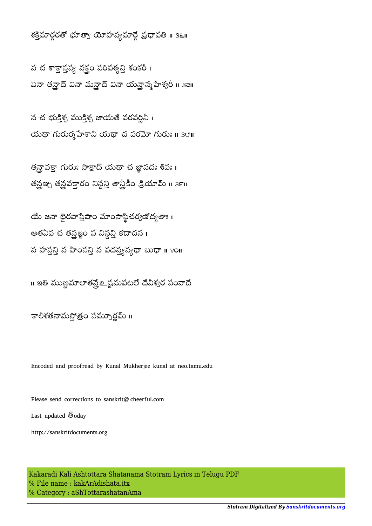శక్తిమార్గరతో భూత్వా యోహన్యమార్గే ప్రధావతి ॥ 3९॥

న చ శాక్తాస్తవ్య వక్తం పరిపశ్యన్తి శంకరీ । వినా తన్హైద్ విన్హా చిన్హా ను మేశ్వరీ ॥ ३౭॥

న చ భుక్తిశ్చ ముక్తిశ్చ జాయతే వరవర్ణినీ । యథా గురుర్మహేశాని యథా చ పరమో గురుః ॥  $3$ ౮॥

తన్రావక్తా గురుః సాక్షాద్ యథా చ జ్ఞానదః శివః। తన్రఞ్న తన్రవక్తారం నిన్ధన్తి తాన్హీకీం క్రియామ్ ॥ ౩౯॥

యే జనా భైరవాస్తేషాం మాంసాస్థిచర్యణోద్యతాః। అతఏవ చ తన్రజ్ఞం స నిన్ధన్తి కదాచన ।  $\lesssim$  హస్తన్తి న వాదన్య న్య భా బుధా ॥ ४०॥

။ ఇతి ముణ్ణమాలాతన్హే బ్లైషమపటలే దేవీశ్వర సంవాదే

కాలీశతనామస్తోత్రం సమ్నూర్ణమ్ ॥

Encoded and proofread by Kunal Mukherjee kunal at neo.tamu.edu

Please send corrections to sanskrit@cheerful.com Last updated  $\bar{\mathbb{S}}$ oday http://sanskritdocuments.org

Kakaradi Kali Ashtottara Shatanama Stotram Lyrics in Telugu PDF % File name : kakArAdishata.itx % Category : aShTottarashatanAma